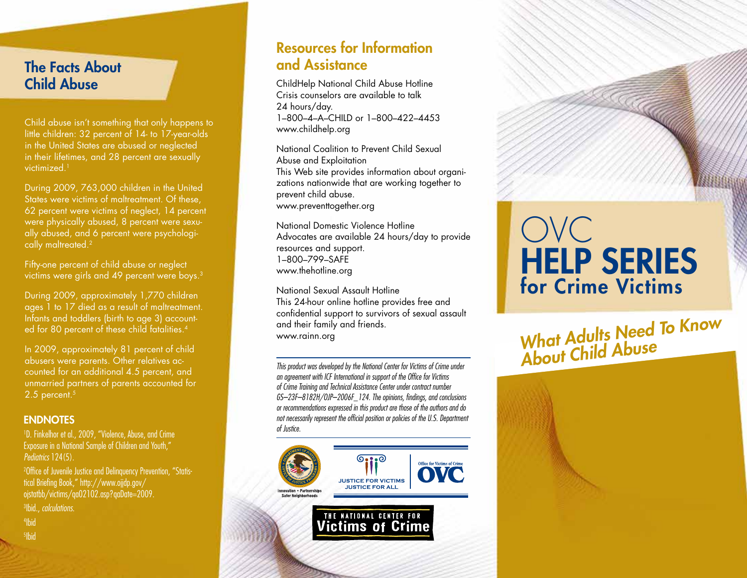#### The Facts About Child Abuse

Child abuse isn't something that only happens to little children: 32 percent of 14- to 17-year-olds in the United States are abused or neglected in their lifetimes, and 28 percent are sexually victimized.1

During 2009, 763,000 children in the United States were victims of maltreatment. Of these, 62 percent were victims of neglect, 14 percent were physically abused, 8 percent were sexually abused, and 6 percent were psychologically maltreated.2

Fifty-one percent of child abuse or neglect victims were girls and 49 percent were boys.3

During 2009, approximately 1,770 children ages 1 to 17 died as a result of maltreatment. Infants and toddlers (birth to age 3) accounted for 80 percent of these child fatalities.<sup>4</sup>

In 2009, approximately 81 percent of child abusers were parents. Other relatives accounted for an additional 4.5 percent, and unmarried partners of parents accounted for 2.5 percent.<sup>5</sup>

#### **ENDNOTES**

1 D. Finkelhor et al., 2009, "Violence, Abuse, and Crime Exposure in a National Sample of Children and Youth," *Pediatrics* 124(5).

2 Office of Juvenile Justice and Delinquency Prevention, "Statistical Briefing Book," http://www.ojjdp.gov/ ojstatbb/victims/qa02102.asp?qaDate=2009.

3 Ibid., *calculations*.

4 Ibid

5 Ibid

#### Resources for Information and Assistance

ChildHelp National Child Abuse Hotline Crisis counselors are available to talk 24 hours/day. 1–800–4–A–CHILD or 1–800–422–4453 www.childhelp.org

National Coalition to Prevent Child Sexual Abuse and Exploitation This Web site provides information about organizations nationwide that are working together to prevent child abuse. www.preventtogether.org

National Domestic Violence Hotline Advocates are available 24 hours/day to provide resources and support. 1–800–799–SAFE www.thehotline.org

National Sexual Assault Hotline This 24-hour online hotline provides free and confidential support to survivors of sexual assault and their family and friends. www.rainn.org

*This product was developed by the National Center for Victims of Crime under an agreement with ICF International in support of the Office for Victims of Crime Training and Technical Assistance Center under contract number GS–23F–8182H/OJP–2006F\_124. The opinions, findings, and conclusions or recommendations expressed in this product are those of the authors and do not necessarily represent the official position or policies of the U.S. Department of Justice.*



# OVC HELP SERIES for Crime Victims

*What Adults Need To Know About Child Abuse*